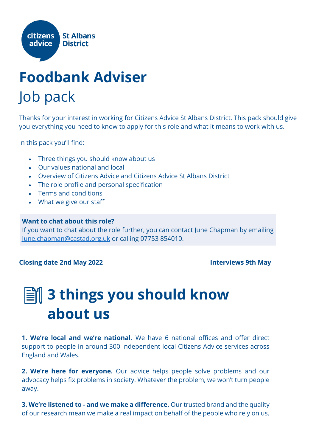

### **Foodbank Adviser**  Job pack

Thanks for your interest in working for Citizens Advice St Albans District. This pack should give you everything you need to know to apply for this role and what it means to work with us.

In this pack you'll find:

- Three things you should know about us
- Our values national and local
- Overview of Citizens Advice and Citizens Advice St Albans District
- The role profile and personal specification
- Terms and conditions
- What we give our staff

#### **Want to chat about this role?**

If you want to chat about the role further, you can contact June Chapman by emailing [June.chapman@castad.org.uk](mailto:June.chapman@castad.org.uk) or calling 07753 854010.

#### **Closing date 2nd May 2022 Interviews 9th May**

### **3 things you should know about us**

**1. We're local and we're national**. We have 6 national offices and offer direct support to people in around 300 independent local Citizens Advice services across England and Wales.

**2. We're here for everyone.** Our advice helps people solve problems and our advocacy helps fix problems in society. Whatever the problem, we won't turn people away.

**3. We're listened to - and we make a difference.** Our trusted brand and the quality of our research mean we make a real impact on behalf of the people who rely on us.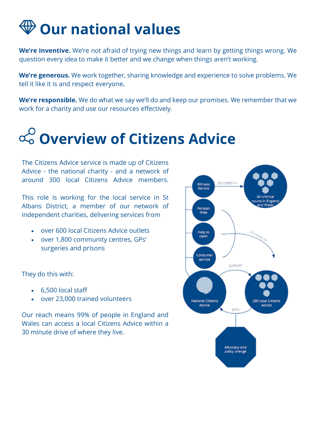### **Our national values**

**We're inventive.** We're not afraid of trying new things and learn by getting things wrong. We question every idea to make it better and we change when things aren't working.

**We're generous.** We work together, sharing knowledge and experience to solve problems. We tell it like it is and respect everyone**.**

**We're responsible.** We do what we say we'll do and keep our promises. We remember that we work for a charity and use our resources effectively.

## **Overview of Citizens Advice**

The Citizens Advice service is made up of Citizens Advice - the national charity - and a network of around 300 local Citizens Advice members.

This role is working for the local service in St Albans District, a member of our network of independent charities, delivering services from

- over 600 local Citizens Advice outlets
- over 1,800 community centres, GPs' surgeries and prisons

They do this with:

- 6,500 local staff
- over 23,000 trained volunteers

Our reach means 99% of people in England and Wales can access a local Citizens Advice within a 30 minute drive of where they live.

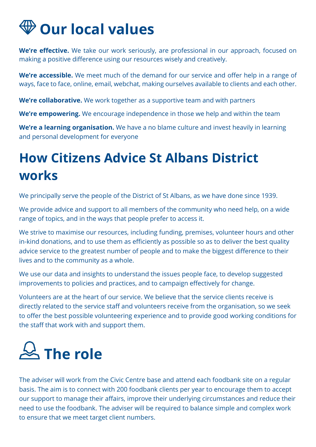### **Our local values**

**We're effective.** We take our work seriously, are professional in our approach, focused on making a positive difference using our resources wisely and creatively.

**We're accessible.** We meet much of the demand for our service and offer help in a range of ways, face to face, online, email, webchat, making ourselves available to clients and each other.

**We're collaborative.** We work together as a supportive team and with partners

**We're empowering.** We encourage independence in those we help and within the team

**We're a learning organisation.** We have a no blame culture and invest heavily in learning and personal development for everyone

### **How Citizens Advice St Albans District works**

We principally serve the people of the District of St Albans, as we have done since 1939.

We provide advice and support to all members of the community who need help, on a wide range of topics, and in the ways that people prefer to access it.

We strive to maximise our resources, including funding, premises, volunteer hours and other in-kind donations, and to use them as efficiently as possible so as to deliver the best quality advice service to the greatest number of people and to make the biggest difference to their lives and to the community as a whole.

We use our data and insights to understand the issues people face, to develop suggested improvements to policies and practices, and to campaign effectively for change.

Volunteers are at the heart of our service. We believe that the service clients receive is directly related to the service staff and volunteers receive from the organisation, so we seek to offer the best possible volunteering experience and to provide good working conditions for the staff that work with and support them.

# **The role**

The adviser will work from the Civic Centre base and attend each foodbank site on a regular basis. The aim is to connect with 200 foodbank clients per year to encourage them to accept our support to manage their affairs, improve their underlying circumstances and reduce their need to use the foodbank. The adviser will be required to balance simple and complex work to ensure that we meet target client numbers.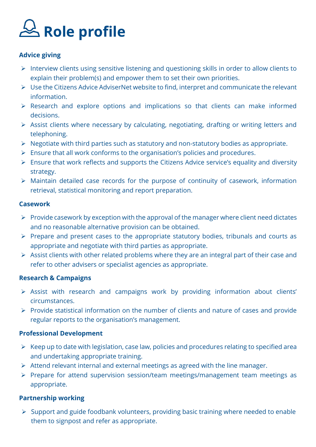# **Role profile**

#### **Advice giving**

- ➢ Interview clients using sensitive listening and questioning skills in order to allow clients to explain their problem(s) and empower them to set their own priorities.
- ➢ Use the Citizens Advice AdviserNet website to find, interpret and communicate the relevant information.
- ➢ Research and explore options and implications so that clients can make informed decisions.
- ➢ Assist clients where necessary by calculating, negotiating, drafting or writing letters and telephoning.
- ➢ Negotiate with third parties such as statutory and non-statutory bodies as appropriate.
- ➢ Ensure that all work conforms to the organisation's policies and procedures.
- ➢ Ensure that work reflects and supports the Citizens Advice service's equality and diversity strategy.
- ➢ Maintain detailed case records for the purpose of continuity of casework, information retrieval, statistical monitoring and report preparation.

#### **Casework**

- $\triangleright$  Provide casework by exception with the approval of the manager where client need dictates and no reasonable alternative provision can be obtained.
- ➢ Prepare and present cases to the appropriate statutory bodies, tribunals and courts as appropriate and negotiate with third parties as appropriate.
- $\triangleright$  Assist clients with other related problems where they are an integral part of their case and refer to other advisers or specialist agencies as appropriate.

#### **Research & Campaigns**

- ➢ Assist with research and campaigns work by providing information about clients' circumstances.
- ➢ Provide statistical information on the number of clients and nature of cases and provide regular reports to the organisation's management.

#### **Professional Development**

- $\triangleright$  Keep up to date with legislation, case law, policies and procedures relating to specified area and undertaking appropriate training.
- ➢ Attend relevant internal and external meetings as agreed with the line manager.
- ➢ Prepare for attend supervision session/team meetings/management team meetings as appropriate.

#### **Partnership working**

➢ Support and guide foodbank volunteers, providing basic training where needed to enable them to signpost and refer as appropriate.